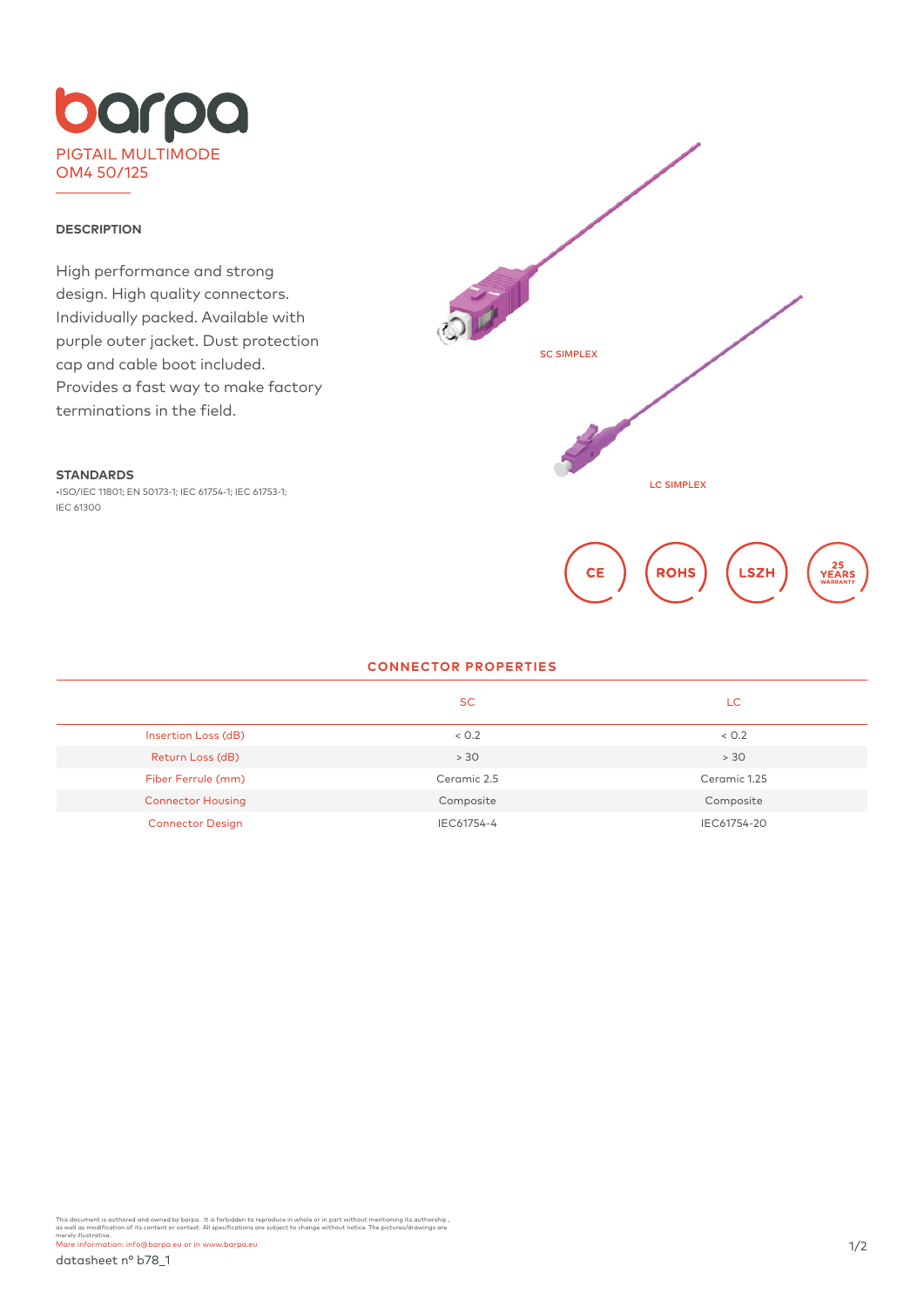

### **DESCRIPTION**

High performance and strong design. High quality connectors. Individually packed. Available with purple outer jacket. Dust protection cap and cable boot included. Provides a fast way to make factory terminations in the field.

#### **STANDARDS**

•ISO/IEC 11801; EN 50173-1; IEC 61754-1; IEC 61753-1; IEC 61300



#### **CONNECTOR PROPERTIES**

|                          | SC.         | LC           |
|--------------------------|-------------|--------------|
| Insertion Loss (dB)      | < 0.2       | < 0.2        |
| Return Loss (dB)         | > 30        | > 30         |
| Fiber Ferrule (mm)       | Ceramic 2.5 | Ceramic 1.25 |
| <b>Connector Housing</b> | Composite   | Composite    |
| <b>Connector Design</b>  | IEC61754-4  | IEC61754-20  |

This document is authored and owned by barpa . It is forbidden to reproduce in whole or in part without mentioning its authorship ,<br>as well as modification of its content or context. All specifications are subject to chang